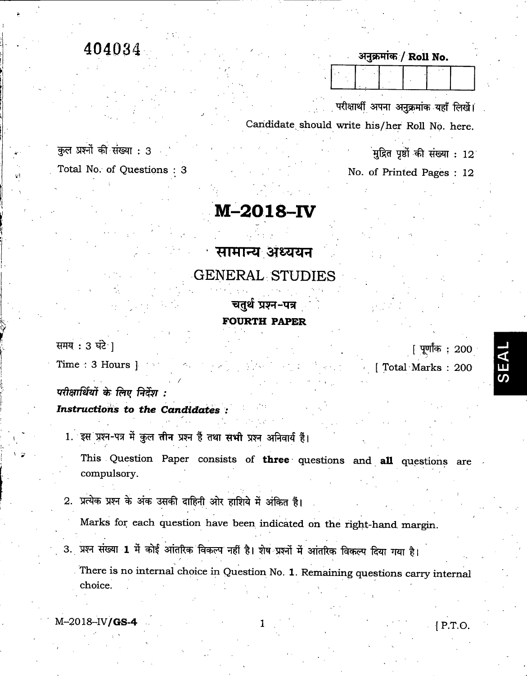## 404034

कुल प्रश्नों की संख्या : 3 Total No. of Questions : 3

## M-2018-IV

सामान्य अध्ययन GENERAL STUDIES

> चतुर्थ प्रश्न-पत्र FOURTH PAPER

समय  $: 3$  घंटे |

Time : 3 Hours ]

परीक्षार्थियों के लिए निर्देश :

Instructions to the Candidates :

1. इस प्रश्न-पत्र में कुल तीन प्रश्न हैं तथा सभी प्रश्न अनिवार्य हैं।

This Question Paper consists of three questions and all questions are compulsory.

2. प्रत्येक प्रश्न के अंक उसकी दाहिनी ओर हाशिये में अंकित हैं।

Marks for each question have been indicated on the right-hand, margin.

3. प्रश्न संख्या 1 में कोई आंतरिक विकल्प नहीं है। शेष प्रश्नों में आंतरिक विकल्प दिया गया है।

There is no internal choice in Question No. 1. Remaining questions carry internal choice.

 $M-2018-N/\text{GS}-4$  [ P.T.O.

अनुक्रमांक / Roll No.

परीक्षार्थी अपना अनुक्रमांक यहाँ लिखें। Candidate should write his/her Roll No. here.

मुद्रित पृष्ठों की संख्या : 12

No. of Printed Pages : 12

[ पूर्णांक : 200

[ Total Marks : 200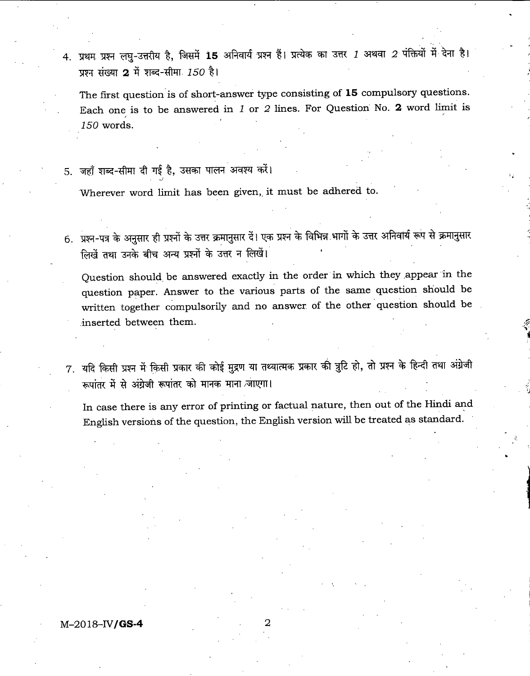4. प्रथम प्रश्न लघु-उत्तरीय है, जिसमें 15 अनिवार्य प्रश्न हैं। प्रत्येक का उत्तर 1 अथवा 2 पंक्तियों में देना है। प्रश्न संख्या 2 में शब्द-सीमा  $150$  है।

The first question is of short-answer type consisting of 15 compulsory questions. Each one is to be answered in J or 2 lines. For Question No. 2 word limit is 150 words.

5. जहाँ शब्द-सीमा दी गई है, उसका पालन अवश्य करें।

Wherever word limit has been given, it must be adhered to.

6. प्रश्न-पत्र के अनुसार ही प्रश्नों के उत्तर क्रमानुसार दें। एक प्रश्न के विभिन्न भागों के उत्तर अनिवार्य रूप से क्रमानुसार लिखें तथा उनके बीच अन्य प्रश्नों के उत्तर न लिखें।

Question should, be answered exactly in the order in which they appear in the question paper. Answer to the various parts of the same question should be written together compulsorily and no answer of the other question should be inserted between them.

7. यदि किसी प्रश्न में किसी प्रकार की कोई मुद्रण या तथ्यात्मक प्रकार की त्रुटि हो, तो प्रश्न के हिन्दी तथा अंग्रेजी रूपांतर में से अंग्रेजी रूपांतर को मानक माना जाएगा।

In case there is any error of printing or factual nature, then out of the Hindi and English versions of the question, the English version will be treated as standard.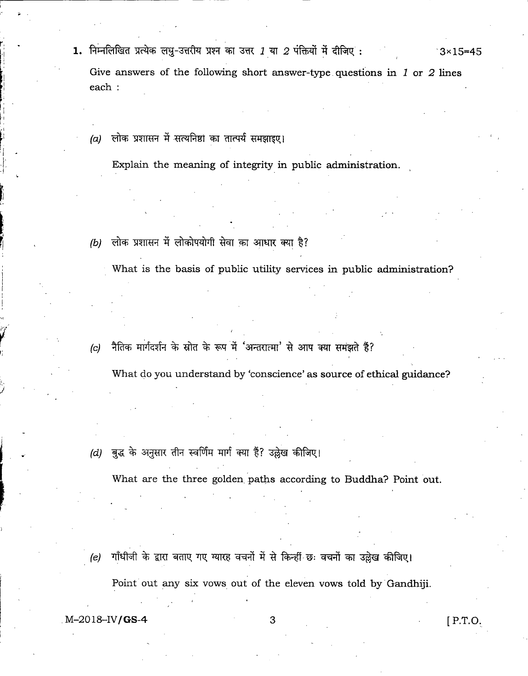- 1. निम्नलिखित प्रत्येक लघु-उत्तरीय प्रश्न का उत्तर *1* या *2* पंक्तियों में दीजिए :  $3\times 15=45$ Give answers of the following short answer-type questions in  $1$  or  $2$  lines each :
	- $(a)$  लोक प्रशासन में सत्यनिष्ठा का तात्पर्य समझाइए।

Explain the meaning of integrity in public administration.

(b) लोक प्रशासन में लोकोपयोगी सेवा का आधार क्या है?

What is the basis of public utility services in public administration?

(c) नैतिक मार्गदर्शन के स्रोत के रूप में 'अन्तरात्मा' से आप क्या समझते हैं?

What do you understand by 'conscience' as source of ethical guidance?

(d) बुद्ध के अनुसार तीन स्वर्णिम मार्ग क्या हैं? उल्लेख कीजिए।

What are the three golden, paths according to Buddha? Point out.

गाँधीजी के द्वारा बताए गए ग्यारह वचनों में से किन्हीं छः वचनों का उल्लेख कीजिए। (e)

Point out any six vows out of the eleven vows told by Gandhiji.

M-2018-IV**/GS-4** 3 [P.T.O.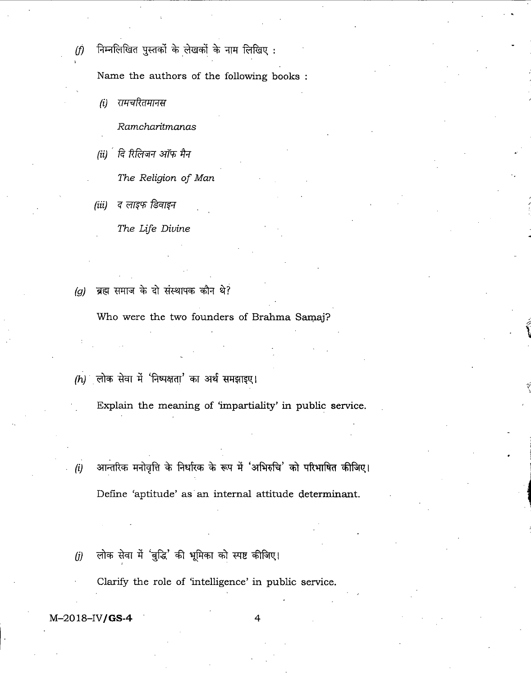- 
- $(f)$  निम्नलिखित पुस्तकों के लेखकों के नाम लिखिए :

Name the authors of the following books

*(i)* रामचरितमानस

Ramcharitmanas

(ii)  $\int$ दि रिलिजन ऑफ मैन

The Religion of Man

(iii) द लाइफ डिवाइन

The Life Divine

(g) ब्रह्म समाज के दो संस्थापक कौन थे?

Who were the two founders of Brahma Samaj?

 $(h)$  लोक सेवा में 'निष्पक्षता' का अर्थ समझाइए।

Explain the meaning of 'impartiality' in public service.

आन्तरिक मनोवृत्ति के निर्धारक के रूप में 'अभिरुचि' को परिभाषित कीजिए।  $(i)$ Define 'aptitude' as an internal attitude determinant.

 $(j)$  लोक सेवा में 'बुद्धि' की भूमिका को स्पष्ट कीजिए।

Clarify the role of 'intelligence' in public service.

 $M-2018$ -IV/GS-4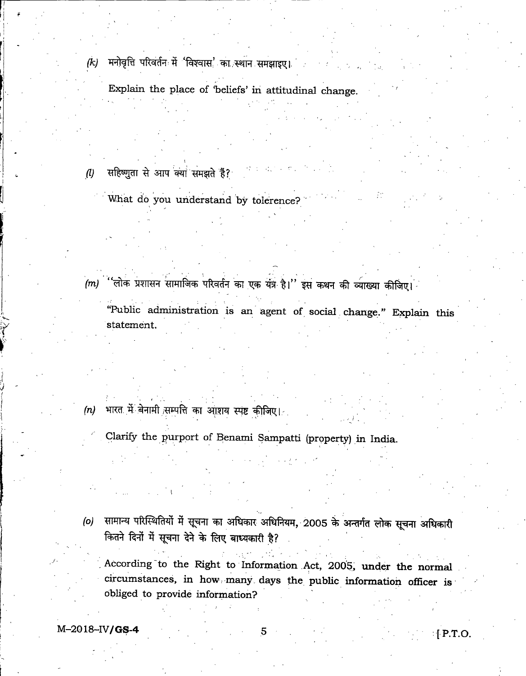मनोवृत्ति परिवर्तन में 'विश्वास' का स्थान समझाइए।  $(k)$ 

Explain the place of beliefs' in attitudinal change.

- $(1)$  सहिष्णुता से आप क्या समझते हैं?
	- What do you understand by tolerence?

- $(m)$  'लोक प्रशासन सामाजिक परिवर्तन का एक यंत्र है।'' इस कथन की व्याख्या कीजिए।
	- "Public administration is an agent of social change." Explain this statement.
- (n) भारत में बेनामी सम्पत्ति का आशय स्पष्ट कीजिए।
	- Clarify the purport of Benami Sampatti (property) in India.
- (o) सामान्य परिस्थितियों में सूचना का अधिकार अधिनियम, 2005 के अन्तर्गत लोक सूचना अधिकारी कितने दिनों में सूचना देने के लिए बाध्यकारी है?
	- . According to the Right to Information Act, 2005, under the normal circumstances, in how, many, days the public information officer is obliged to provide information?

 $M-2018-IV/GS-4$  5 [P.T.O.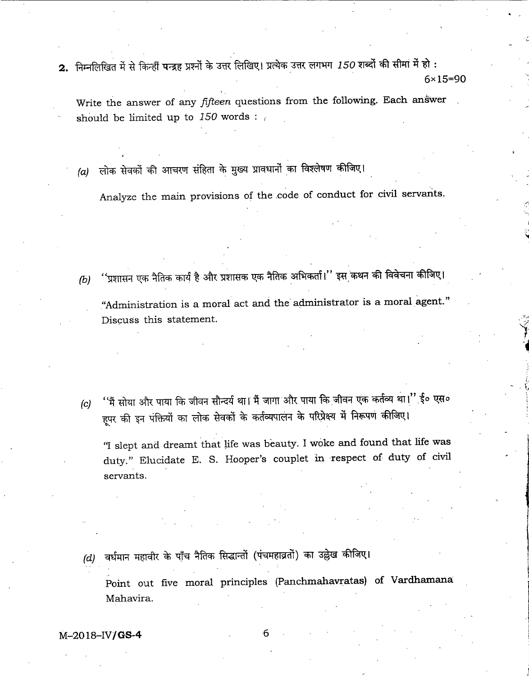2. निम्नलिखित में से किन्हीं पन्द्रह प्रश्नों के उत्तर लिखिए। प्रत्येक उत्तर लगभग 150 शब्दों की सीमा में हो :  $6 \times 15 = 90$ 

Write the answer of any *fifteen* questions from the following. Each answer should be limited up to  $150$  words :

(a) लोक सेवकों की आचरण संहिता के मुख्य प्रावधानों का विश्लेषण कीजिए।

Analyze the main provisions of the code of conduct for civil servants.

- ''प्रशासन एक नैतिक कार्य है और प्रशासक एक नैतिक अभिकर्ता।'' इस कथन की विवेचना कीजिए।  $(b)$ "Administration is a moral act and the administrator is a moral agent. Discuss this statement.
- (c) ''मैं सोया और पाया कि जीवन सौन्दर्य था। मैं जागा और पाया कि जीवन एक कर्तव्य था।'' ई० एस० हूपर की इन पंक्तियों का लोक सेवकों के कर्तव्यपालन के परिप्रेक्ष्य में निरूपण कीजिए।

"I slept and dreamt that life was beauty. I woke and found that life was duty." Elucidate E. S. Hooper's couplet in respect of duty of civil servants.

 $(d)$  वर्धमान महावीर के पाँच नैतिक सिद्धान्तों (पंचमहाव्रतों) का उल्लेख कीजिए।

Point out five moral principles (Panchmahavratas) of Vardhamana Mahavira.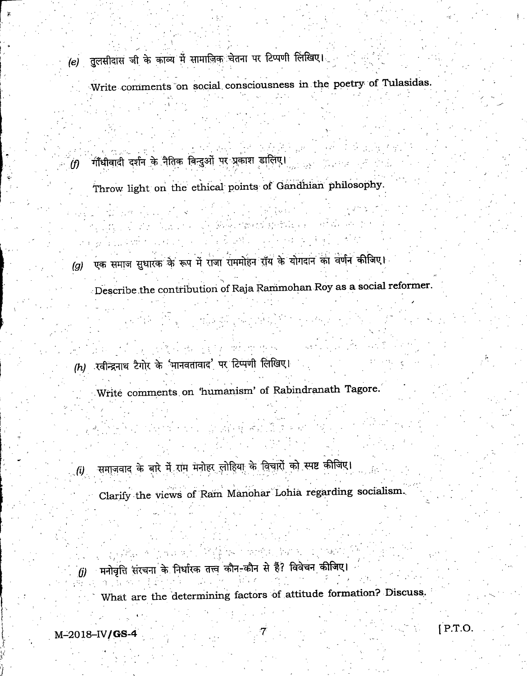- (e) तुलसीदास जी के काव्य में सामाजिक चेतना पर टिप्पणी लिखिए।
	- Write comments on social consciousness in the poetry of Tulasidas.
- $\langle f\rangle$  गाँधीवादी दर्शन के नैतिक बिन्दुओं पर प्रकाश डालिए।
	- Throw light on the ethical points of Gandhian philosophy.

- 第四十五七 始

- (g) एक समाज सुधारक के रूप में राजा राममोहन रॉय के योगदान का वर्णन कीजिए।
	- Describe the contribution of Raja Rammohan Roy as a social reformer.

 $\eta$  , and  $\eta$  as

- $(h)$  रवीन्द्रनाथ टैगोर के 'मानवतावाद' पर टिप्पणी लिखिए।
	- Write comments on 'humanism' of Rabindranath Tagore.
- $\left(\boldsymbol{i}\right)$  . समाजवाद के बारे में राम मनोहर लोहिया के विचारों को स्पष्ट कीजिए।
	- Clarify the views of Ram Manohar Lohia regarding socialism.
- . (j) हिंदी के लिर्थायक लिले के लिए कार्यालय के लिए।<br>(मनोवृत्ति संरचना के निर्धारक तत्त्व कौन-कौन से हैं? विवेचन कीजिए।
	- ' What are the determining factors of attitude formation? Discuss.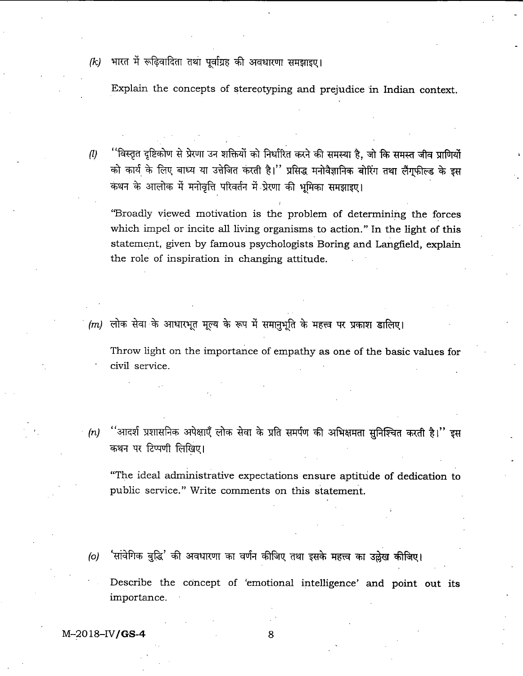(k) भारत में रूढ़िवादिता तथा पूर्वाग्रह की अवधारणा समझाइए।

Explain the concepts of stereotyping and prejudice in Indian context.

''विस्तृत दृष्टिकोण से प्रेरणा उन शक्तियों को निर्धारित करने की समस्या है, जो कि समस्त जीव प्राणियों<br>को कार्य के लिए बाध्य या उत्तेजित करती है।'' प्रसिद्ध मनोवैज्ञानिक बोरिंग तथा लैंग्फील्ड के इस  $\left(\frac{n}{2}\right)$ कथन के आलोक में मनोवृत्ति परिवर्तन में प्रेरणा की भूमिका समझाइए।

I

"Broadly viewed motivation is the problem of determining the forces which impel or incite all living organisms to action." In the light of this statement, given by famous psychologists Boring and Langfield, explain the role of inspiration in changing attitude.

 $(m)$  लोक सेवा के आधारभूत मूल्य के रूप में समानुभूति के महत्त्व पर प्रकाश डालिए।

Throw light on the importance of empathy as one of the basic values for civil service.

(n) "आदर्श प्रशासनिक अपेक्षाएँ लोक सेवा के प्रति समर्पण की अभिक्षमता सुनिश्चित करती है।" इस कथन पर टिप्पणी लिखिए।

"The ideal administrative expectations ensure aptitude of dedication to public service." Write comments on this statement.

- (o) 'सांवेगिक बुद्धि' की अवधारणा का वर्णन कीजिए तथा इसके महत्त्व का उल्लेख कीजिए।
	- Describe the concept of 'emotional intelligence' and point out its importance.

 $M-2018$ -IV/GS-4 8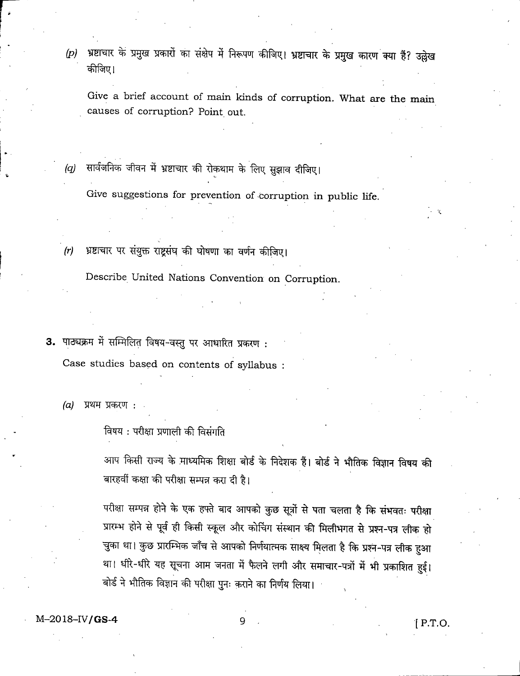(p) भ्रष्टाचार के प्रमुख प्रकारों का संक्षेप में निरूपण कीजिए। भ्रष्टाचार के प्रमुख कारण क्या हैं? उल्लेख कीजिए।

Give a brief account of main kinds of corruption. What are the main causes of corruption? Point out.

 $(q)$  सार्वजनिक जीवन में भ्रष्टाचार की रोकथाम के लिए सुझाव दीजिए।

Give suggestions for prevention of corruption in public life.

(r) भ्रष्टाचार पर संयुक्त राष्ट्रसंघ की घोषणा का वर्णन कीजिए।

Describe United Nations Convention on Corruption.

3. पाठ्यक्रम में सम्मिलित विषय-वस्तु पर आधारित प्रकरण: Case studies based on contents of syllabus :

(a) प्रथम प्रकरण :

विषय : परीक्षा प्रणाली की विसंगति

आप किसी राज्य के माध्यमिक शिक्षा बोर्ड के निदेशक हैं। बोर्ड ने भौतिक विज्ञान विषय की बारहवीं कक्षा की परीक्षा सम्पन्न करा दी है।

परीक्षा सम्पन्न होने के एक हफ्ते बाद आपको कुछ सूत्रों से पता चलता है कि संभवतः परीक्षा प्रारम्भ होने से पूर्व ही किसी स्कूल और कोचिंग संस्थान की मिलीभगत से प्रश्न-पत्र लीक हो चुका था। कुछ प्रारम्भिक जाँच से आपको निर्णयात्मक साक्ष्य मिलता है कि प्रश्न-पत्र लीक हुआ था। धीरे-धीरे यह सूचना आम जनता में फैलने लगी और समाचार-पत्रों में भी प्रकाशित हुई। बोर्ड ने भौतिक विज्ञान की परीक्षा पुनः कराने का निर्णय लिया।

 $M-2018-IV/GS-4$  9  $[ P.T.O.$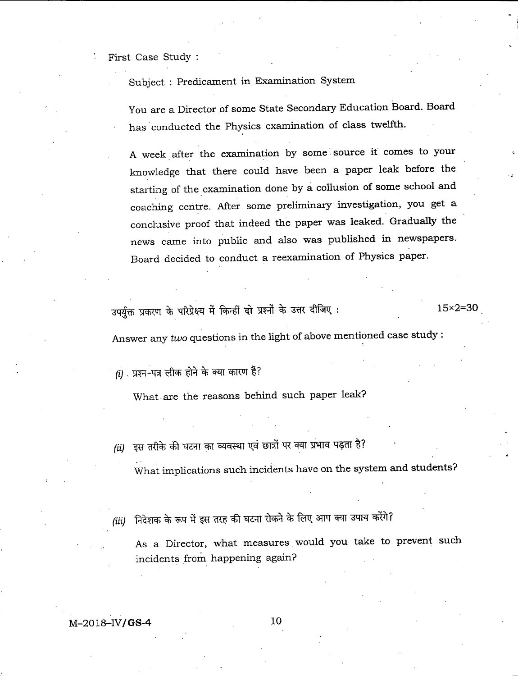First Case Study :

Subject : Predicament in Examination System

You are a Director of some State Secondary Education Board. Board has conducted the Physics examination of class twelfth.

A week after the examination by some source it comes to your knowledge that there could have been a paper leak before the starting of the examination done by a collusion of some school and coaching centre. After some preliminary investigation, you get a conclusive proof that indeed the paper was leaked. Gradually the news came into public and also was published in newspapers. Board decided to conduct a reexamination of Physics paper.

उपर्युक्त प्रकरण के परिप्रेक्ष्य में किन्हीं दो प्रश्नों के उत्तर दीजिए :  $15\times2=30$ 

Answer any two questions in the light of above mentioned case study ;

 $(i)$  प्रश्न-पत्र लीक होने के क्या कारण हैं?

What are the reasons behind such paper leak?

(ii) दूस तरीके की घटना का व्यवस्था एवं छात्रों पर क्या प्रभाव पड़ता है?

What implications such incidents have on the system and students?

(iii) निदेशक के रूप में इस तरह की घटना रोकने के लिए आप क्या उपाय करेंगे?

As a Director, what measures would you take to prevent such incidents from happening again?

 $M-2018-N/GS-4$  10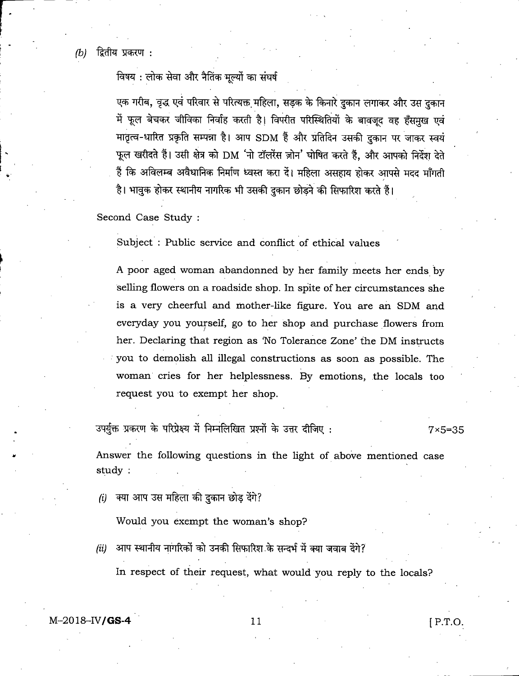$(b)$  द्वितीय प्रकरण :

विषय : लोक सेवा और नैतिंक मूल्यों का संघर्ष

एक गरीब, वृद्ध एवं परिवार से परित्यक्त महिला, सड़क के किनारे दुकान लगाकर और उस दुकान में फूल बेचकर जीविका निर्वाह करती है। विपरीत परिस्थितियों के बावजूद वह हँसमुख एवं में फूल बेचकर जीविका निर्वाह करती है। विपरीत परिस्थितियों के बावजूद वह हँसमुख एवं<br>मातृत्व-धारित प्रकृति सम्पन्ना है। आप SDM हैं और प्रतिदिन उसकी दुकान पर जाकर स्वयं 11 ^ ^ ^ DM ?it^' ^ t, 3fR 3nq^ ^ फूल खरीदते हैं। उसी क्षेत्र को DM 'नो टॉलरेंस ज़ोन' घोषित करते हैं, और आपको निर्देश देते<br>हैं कि अविलम्ब अवैधानिक निर्माण ध्वस्त करा दें। महिला असहाय होकर आपसे मदद माँगती है। भावुक होकर स्थानीय नागरिक भी उसकी दुकान छोड़ने की सिफारिश करते हैं।

Second Case Study :

Subject ; Public service and conflict of ethical values

A poor aged woman abandonned by her family meets her ends by selling flowers on a roadside shop. In spite of her circumstances she is a very cheerful and mother-like figure. You are an SDM and everyday you yourself, go to her shop and purchase flowers from her. Declaring that region as 'No Tolerance Zone' the DM instructs you to demolish all illegal constructions as soon as possible. The woman cries for her helplessness. By emotions, the locals too request you to exempt her shop.

उपर्युक्त प्रकरण के परिप्रेक्ष्य में निम्नलिखित प्रश्नों के उत्तर दीजिए :  $7\times5=35$ 

Answer the following questions in the light of above mentioned case study:

 $(i)$  क्या आप उस महिला की दुकान छोड़ देंगे?

Would you exempt the woman's shop?

(ii) आप स्थानीय नागरिकों को उनकी सिफारिश के सन्दर्भ में क्या जवाब देंगे? In respect of their request, what would you reply to the locals?

 $M-2018-N/\text{GS-4}$  [P.T.O.